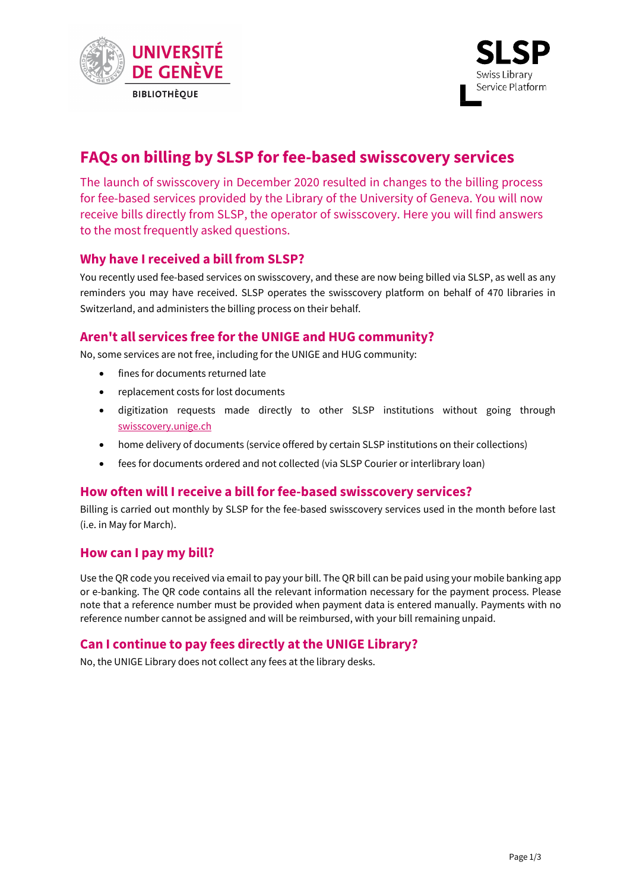



# **FAQs on billing by SLSP for fee-based swisscovery services**

The launch of swisscovery in December 2020 resulted in changes to the billing process for fee-based services provided by the Library of the University of Geneva. You will now receive bills directly from SLSP, the operator of swisscovery. Here you will find answers to the most frequently asked questions.

## **Why have I received a bill from SLSP?**

You recently used fee-based services on swisscovery, and these are now being billed via SLSP, as well as any reminders you may have received. SLSP operates the swisscovery platform on behalf of 470 libraries in Switzerland, and administers the billing process on their behalf.

## **Aren't all services free for the UNIGE and HUG community?**

No, some services are not free, including for the UNIGE and HUG community:

- fines for documents returned late
- replacement costs for lost documents
- digitization requests made directly to other SLSP institutions without going through [swisscovery.unige.ch](http://swisscovery.unige.ch/)
- home delivery of documents (service offered by certain SLSP institutions on their collections)
- fees for documents ordered and not collected (via SLSP Courier or interlibrary loan)

## **How often will I receive a bill for fee-based swisscovery services?**

Billing is carried out monthly by SLSP for the fee-based swisscovery services used in the month before last (i.e. in May for March).

### **How can I pay my bill?**

Use the QR code you received via email to pay your bill. The QR bill can be paid using your mobile banking app or e-banking. The QR code contains all the relevant information necessary for the payment process. Please note that a reference number must be provided when payment data is entered manually. Payments with no reference number cannot be assigned and will be reimbursed, with your bill remaining unpaid.

## **Can I continue to pay fees directly at the UNIGE Library?**

No, the UNIGE Library does not collect any fees at the library desks.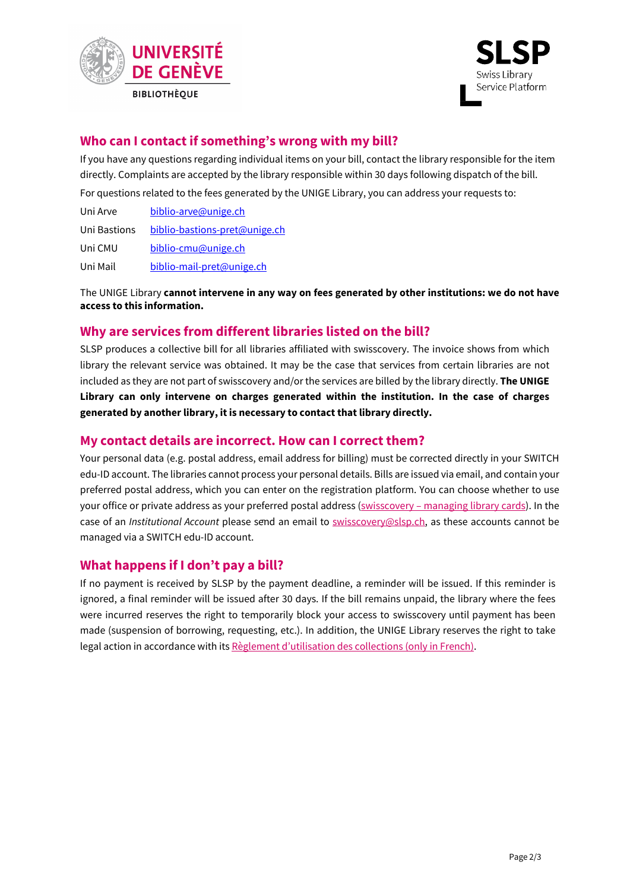



## **Who can I contact if something's wrong with my bill?**

If you have any questions regarding individual items on your bill, contact the library responsible for the item directly. Complaints are accepted by the library responsible within 30 days following dispatch of the bill. For questions related to the fees generated by the UNIGE Library, you can address your requests to:

| Uni Arve     | biblio-arve@unige.ch          |
|--------------|-------------------------------|
| Uni Bastions | biblio-bastions-pret@unige.ch |
| Uni CMU      | biblio-cmu@unige.ch           |
| Uni Mail     | biblio-mail-pret@unige.ch     |

The UNIGE Library **cannot intervene in any way on fees generated by other institutions: we do not have access to this information.**

### **Why are services from different libraries listed on the bill?**

SLSP produces a collective bill for all libraries affiliated with swisscovery. The invoice shows from which library the relevant service was obtained. It may be the case that services from certain libraries are not included as they are not part of swisscovery and/or the services are billed by the library directly. **The UNIGE Library can only intervene on charges generated within the institution. In the case of charges generated by another library, it is necessary to contact that library directly.**

#### **My contact details are incorrect. How can I correct them?**

Your personal data (e.g. postal address, email address for billing) must be corrected directly in your SWITCH edu-ID account. The libraries cannot process your personal details. Bills are issued via email, and contain your preferred postal address, which you can enter on the registration platform. You can choose whether to use your office or private address as your preferred postal address (swisscovery - managing library cards). In the case of an *Institutional Account* please send an email to [swisscovery@slsp.ch,](mailto:swisscovery@slsp.ch) as these accounts cannot be managed via a SWITCH edu-ID account.

### **What happens if I don't pay a bill?**

If no payment is received by SLSP by the payment deadline, a reminder will be issued. If this reminder is ignored, a final reminder will be issued after 30 days. If the bill remains unpaid, the library where the fees were incurred reserves the right to temporarily block your access to swisscovery until payment has been made (suspension of borrowing, requesting, etc.). In addition, the UNIGE Library reserves the right to take legal action in accordance with it[s Règlement d'utilisation des collections](https://www.unige.ch/biblio/files/7916/0794/3141/Reglement_utilisation_collections_BUNIGE_20201209.pdf) (only in French).